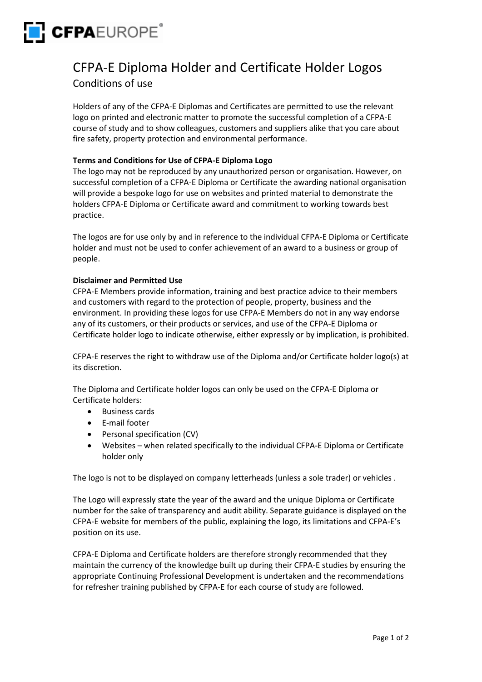

# CFPA-E Diploma Holder and Certificate Holder Logos Conditions of use

Holders of any of the CFPA-E Diplomas and Certificates are permitted to use the relevant logo on printed and electronic matter to promote the successful completion of a CFPA-E course of study and to show colleagues, customers and suppliers alike that you care about fire safety, property protection and environmental performance.

## **Terms and Conditions for Use of CFPA-E Diploma Logo**

The logo may not be reproduced by any unauthorized person or organisation. However, on successful completion of a CFPA-E Diploma or Certificate the awarding national organisation will provide a bespoke logo for use on websites and printed material to demonstrate the holders CFPA-E Diploma or Certificate award and commitment to working towards best practice.

The logos are for use only by and in reference to the individual CFPA-E Diploma or Certificate holder and must not be used to confer achievement of an award to a business or group of people.

### **Disclaimer and Permitted Use**

CFPA-E Members provide information, training and best practice advice to their members and customers with regard to the protection of people, property, business and the environment. In providing these logos for use CFPA-E Members do not in any way endorse any of its customers, or their products or services, and use of the CFPA-E Diploma or Certificate holder logo to indicate otherwise, either expressly or by implication, is prohibited.

CFPA-E reserves the right to withdraw use of the Diploma and/or Certificate holder logo(s) at its discretion.

The Diploma and Certificate holder logos can only be used on the CFPA-E Diploma or Certificate holders:

- Business cards
- E-mail footer
- Personal specification (CV)
- Websites when related specifically to the individual CFPA-E Diploma or Certificate holder only

The logo is not to be displayed on company letterheads (unless a sole trader) or vehicles .

The Logo will expressly state the year of the award and the unique Diploma or Certificate number for the sake of transparency and audit ability. Separate guidance is displayed on the CFPA-E website for members of the public, explaining the logo, its limitations and CFPA-E's position on its use.

CFPA-E Diploma and Certificate holders are therefore strongly recommended that they maintain the currency of the knowledge built up during their CFPA-E studies by ensuring the appropriate Continuing Professional Development is undertaken and the recommendations for refresher training published by CFPA-E for each course of study are followed.